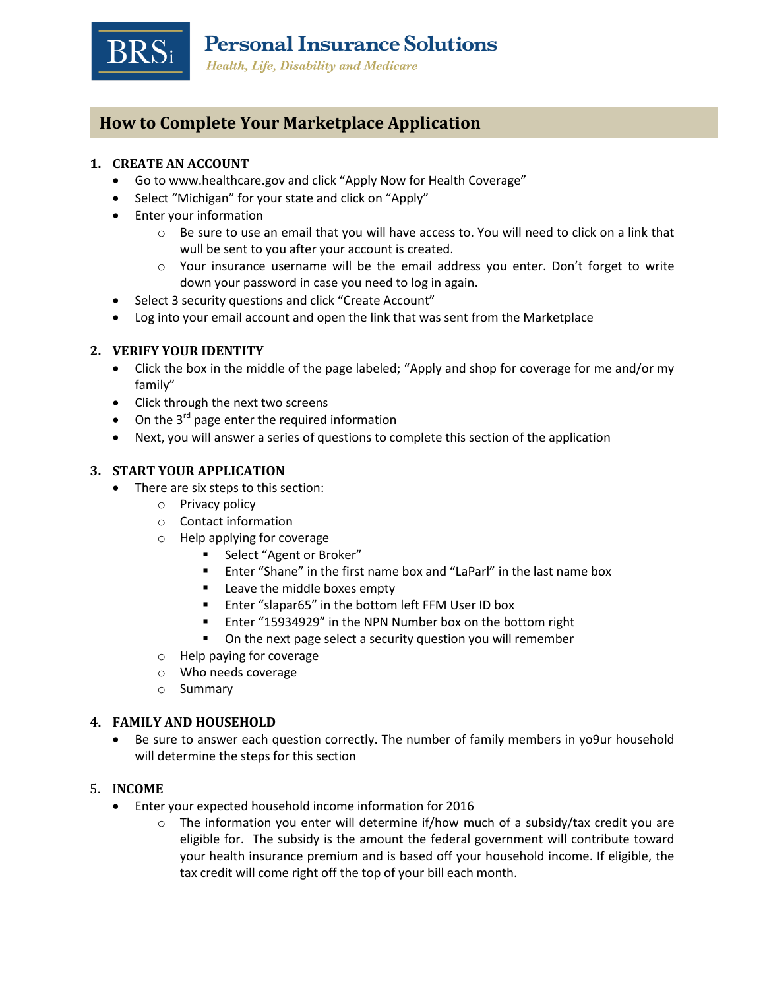

# **How to Complete Your Marketplace Application**

### **1. CREATE AN ACCOUNT**

- Go to [www.healthcare.gov](http://www.healthcare.gov/) and click "Apply Now for Health Coverage"
- Select "Michigan" for your state and click on "Apply"
- Enter your information
	- o Be sure to use an email that you will have access to. You will need to click on a link that wull be sent to you after your account is created.
	- $\circ$  Your insurance username will be the email address you enter. Don't forget to write down your password in case you need to log in again.
- Select 3 security questions and click "Create Account"
- Log into your email account and open the link that was sent from the Marketplace

#### **2. VERIFY YOUR IDENTITY**

- Click the box in the middle of the page labeled; "Apply and shop for coverage for me and/or my family"
- Click through the next two screens
- $\bullet$  On the 3<sup>rd</sup> page enter the required information
- Next, you will answer a series of questions to complete this section of the application

## **3. START YOUR APPLICATION**

- There are six steps to this section:
	- o Privacy policy
	- o Contact information
	- o Help applying for coverage
		- Select "Agent or Broker"
		- **Enter "Shane" in the first name box and "LaParl" in the last name box**
		- **EXEC** Leave the middle boxes empty
		- Enter "slapar65" in the bottom left FFM User ID box
		- Enter "15934929" in the NPN Number box on the bottom right
		- **•** On the next page select a security question you will remember
	- o Help paying for coverage
	- o Who needs coverage
	- o Summary

#### **4. FAMILY AND HOUSEHOLD**

 Be sure to answer each question correctly. The number of family members in yo9ur household will determine the steps for this section

#### 5. I**NCOME**

- Enter your expected household income information for 2016
	- $\circ$  The information you enter will determine if/how much of a subsidy/tax credit you are eligible for. The subsidy is the amount the federal government will contribute toward your health insurance premium and is based off your household income. If eligible, the tax credit will come right off the top of your bill each month.